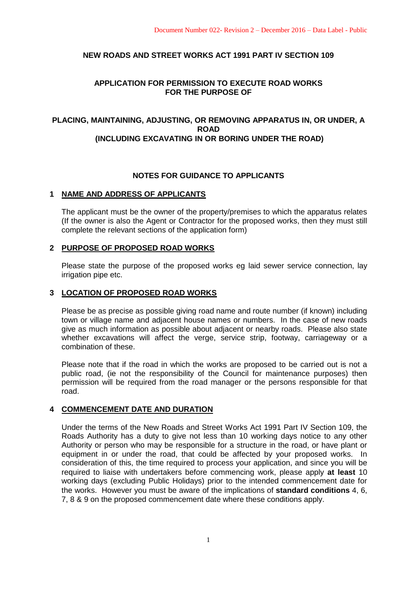# **NEW ROADS AND STREET WORKS ACT 1991 PART IV SECTION 109**

# **APPLICATION FOR PERMISSION TO EXECUTE ROAD WORKS FOR THE PURPOSE OF**

# **PLACING, MAINTAINING, ADJUSTING, OR REMOVING APPARATUS IN, OR UNDER, A ROAD (INCLUDING EXCAVATING IN OR BORING UNDER THE ROAD)**

# **NOTES FOR GUIDANCE TO APPLICANTS**

## **1 NAME AND ADDRESS OF APPLICANTS**

The applicant must be the owner of the property/premises to which the apparatus relates (If the owner is also the Agent or Contractor for the proposed works, then they must still complete the relevant sections of the application form)

### **2 PURPOSE OF PROPOSED ROAD WORKS**

Please state the purpose of the proposed works eg laid sewer service connection, lay irrigation pipe etc.

### **3 LOCATION OF PROPOSED ROAD WORKS**

Please be as precise as possible giving road name and route number (if known) including town or village name and adjacent house names or numbers. In the case of new roads give as much information as possible about adjacent or nearby roads. Please also state whether excavations will affect the verge, service strip, footway, carriageway or a combination of these.

Please note that if the road in which the works are proposed to be carried out is not a public road, (ie not the responsibility of the Council for maintenance purposes) then permission will be required from the road manager or the persons responsible for that road.

## **4 COMMENCEMENT DATE AND DURATION**

Under the terms of the New Roads and Street Works Act 1991 Part IV Section 109, the Roads Authority has a duty to give not less than 10 working days notice to any other Authority or person who may be responsible for a structure in the road, or have plant or equipment in or under the road, that could be affected by your proposed works. In consideration of this, the time required to process your application, and since you will be required to liaise with undertakers before commencing work, please apply **at least** 10 working days (excluding Public Holidays) prior to the intended commencement date for the works. However you must be aware of the implications of **standard conditions** 4, 6, 7, 8 & 9 on the proposed commencement date where these conditions apply.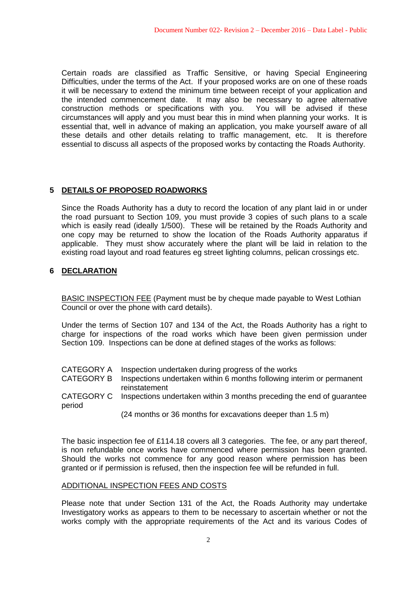Certain roads are classified as Traffic Sensitive, or having Special Engineering Difficulties, under the terms of the Act. If your proposed works are on one of these roads it will be necessary to extend the minimum time between receipt of your application and the intended commencement date. It may also be necessary to agree alternative construction methods or specifications with you. You will be advised if these circumstances will apply and you must bear this in mind when planning your works. It is essential that, well in advance of making an application, you make yourself aware of all these details and other details relating to traffic management, etc. It is therefore essential to discuss all aspects of the proposed works by contacting the Roads Authority.

## **5 DETAILS OF PROPOSED ROADWORKS**

Since the Roads Authority has a duty to record the location of any plant laid in or under the road pursuant to Section 109, you must provide 3 copies of such plans to a scale which is easily read (ideally 1/500). These will be retained by the Roads Authority and one copy may be returned to show the location of the Roads Authority apparatus if applicable. They must show accurately where the plant will be laid in relation to the existing road layout and road features eg street lighting columns, pelican crossings etc.

## **6 DECLARATION**

BASIC INSPECTION FEE (Payment must be by cheque made payable to West Lothian Council or over the phone with card details).

Under the terms of Section 107 and 134 of the Act, the Roads Authority has a right to charge for inspections of the road works which have been given permission under Section 109. Inspections can be done at defined stages of the works as follows:

| CATEGORY A Inspection undertaken during progress of the works |  |
|---------------------------------------------------------------|--|
|---------------------------------------------------------------|--|

- CATEGORY B Inspections undertaken within 6 months following interim or permanent reinstatement
- CATEGORY C Inspections undertaken within 3 months preceding the end of guarantee period

(24 months or 36 months for excavations deeper than 1.5 m)

The basic inspection fee of £114.18 covers all 3 categories. The fee, or any part thereof, is non refundable once works have commenced where permission has been granted. Should the works not commence for any good reason where permission has been granted or if permission is refused, then the inspection fee will be refunded in full.

#### ADDITIONAL INSPECTION FEES AND COSTS

Please note that under Section 131 of the Act, the Roads Authority may undertake Investigatory works as appears to them to be necessary to ascertain whether or not the works comply with the appropriate requirements of the Act and its various Codes of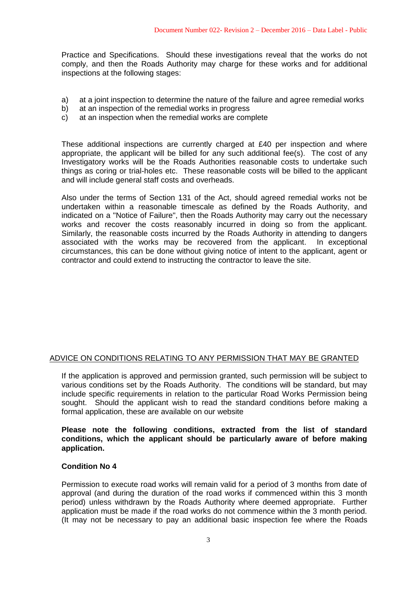Practice and Specifications. Should these investigations reveal that the works do not comply, and then the Roads Authority may charge for these works and for additional inspections at the following stages:

- a) at a joint inspection to determine the nature of the failure and agree remedial works
- b) at an inspection of the remedial works in progress
- c) at an inspection when the remedial works are complete

These additional inspections are currently charged at  $£40$  per inspection and where appropriate, the applicant will be billed for any such additional fee(s). The cost of any Investigatory works will be the Roads Authorities reasonable costs to undertake such things as coring or trial-holes etc. These reasonable costs will be billed to the applicant and will include general staff costs and overheads.

Also under the terms of Section 131 of the Act, should agreed remedial works not be undertaken within a reasonable timescale as defined by the Roads Authority, and indicated on a "Notice of Failure", then the Roads Authority may carry out the necessary works and recover the costs reasonably incurred in doing so from the applicant. Similarly, the reasonable costs incurred by the Roads Authority in attending to dangers associated with the works may be recovered from the applicant. In exceptional circumstances, this can be done without giving notice of intent to the applicant, agent or contractor and could extend to instructing the contractor to leave the site.

## ADVICE ON CONDITIONS RELATING TO ANY PERMISSION THAT MAY BE GRANTED

If the application is approved and permission granted, such permission will be subject to various conditions set by the Roads Authority. The conditions will be standard, but may include specific requirements in relation to the particular Road Works Permission being sought. Should the applicant wish to read the standard conditions before making a formal application, these are available on our website

**Please note the following conditions, extracted from the list of standard conditions, which the applicant should be particularly aware of before making application.**

## **Condition No 4**

Permission to execute road works will remain valid for a period of 3 months from date of approval (and during the duration of the road works if commenced within this 3 month period) unless withdrawn by the Roads Authority where deemed appropriate. Further application must be made if the road works do not commence within the 3 month period. (It may not be necessary to pay an additional basic inspection fee where the Roads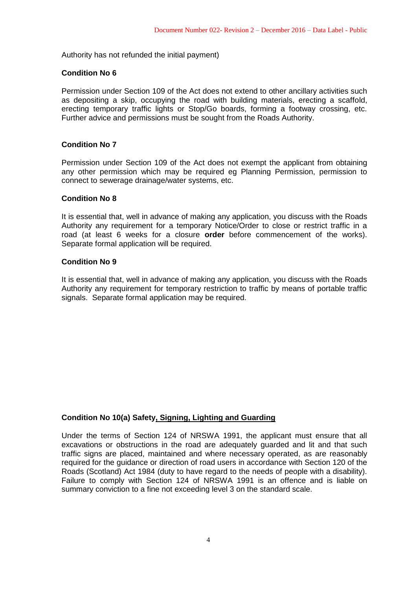Authority has not refunded the initial payment)

### **Condition No 6**

Permission under Section 109 of the Act does not extend to other ancillary activities such as depositing a skip, occupying the road with building materials, erecting a scaffold, erecting temporary traffic lights or Stop/Go boards, forming a footway crossing, etc. Further advice and permissions must be sought from the Roads Authority.

### **Condition No 7**

Permission under Section 109 of the Act does not exempt the applicant from obtaining any other permission which may be required eg Planning Permission, permission to connect to sewerage drainage/water systems, etc.

### **Condition No 8**

It is essential that, well in advance of making any application, you discuss with the Roads Authority any requirement for a temporary Notice/Order to close or restrict traffic in a road (at least 6 weeks for a closure **order** before commencement of the works). Separate formal application will be required.

### **Condition No 9**

It is essential that, well in advance of making any application, you discuss with the Roads Authority any requirement for temporary restriction to traffic by means of portable traffic signals. Separate formal application may be required.

## **Condition No 10(a) Safety, Signing, Lighting and Guarding**

Under the terms of Section 124 of NRSWA 1991, the applicant must ensure that all excavations or obstructions in the road are adequately guarded and lit and that such traffic signs are placed, maintained and where necessary operated, as are reasonably required for the guidance or direction of road users in accordance with Section 120 of the Roads (Scotland) Act 1984 (duty to have regard to the needs of people with a disability). Failure to comply with Section 124 of NRSWA 1991 is an offence and is liable on summary conviction to a fine not exceeding level 3 on the standard scale.